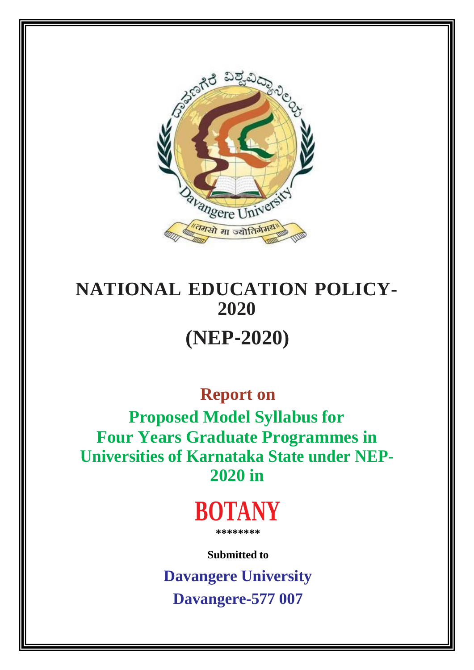

# **NATIONAL EDUCATION POLICY-2020 (NEP‐2020)**

## **Report on**

**Proposed Model Syllabus for Four Years Graduate Programmes in Universities of Karnataka State under NEP-2020 in**



**Submitted to**

**Davangere University Davangere-577 007**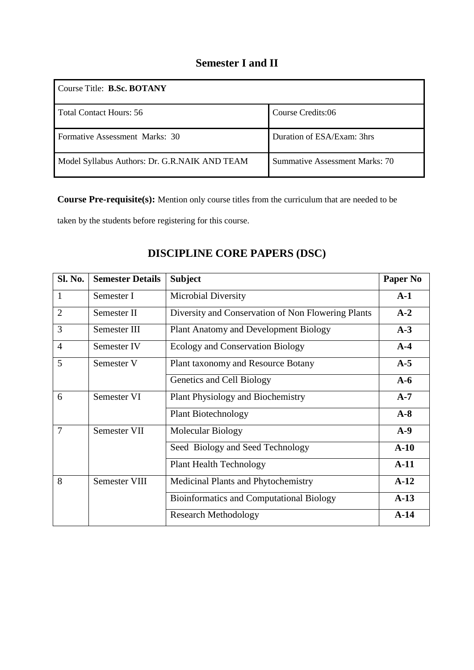### **Semester I and II**

| Course Title: <b>B.Sc. BOTANY</b>             |                                |  |  |  |  |
|-----------------------------------------------|--------------------------------|--|--|--|--|
| <b>Total Contact Hours: 56</b>                | Course Credits:06              |  |  |  |  |
| Formative Assessment Marks: 30                | Duration of ESA/Exam: 3hrs     |  |  |  |  |
| Model Syllabus Authors: Dr. G.R.NAIK AND TEAM | Summative Assessment Marks: 70 |  |  |  |  |

**Course Pre-requisite(s):** Mention only course titles from the curriculum that are needed to be

taken by the students before registering for this course.

| <b>Sl. No.</b> | <b>Semester Details</b> | <b>Subject</b>                                     | <b>Paper No</b> |
|----------------|-------------------------|----------------------------------------------------|-----------------|
| $\mathbf{1}$   | Semester I              | <b>Microbial Diversity</b>                         | $A-1$           |
| $\overline{2}$ | Semester II             | Diversity and Conservation of Non Flowering Plants | $A-2$           |
| 3              | Semester III            | <b>Plant Anatomy and Development Biology</b>       | $A-3$           |
| $\overline{4}$ | Semester IV             | <b>Ecology and Conservation Biology</b>            | $A-4$           |
| 5              | Semester V              | Plant taxonomy and Resource Botany                 | $A-5$           |
|                |                         | Genetics and Cell Biology                          | $A-6$           |
| 6              | Semester VI             | <b>Plant Physiology and Biochemistry</b>           | $A-7$           |
|                |                         | <b>Plant Biotechnology</b>                         | $A-8$           |
| $\overline{7}$ | <b>Semester VII</b>     | Molecular Biology                                  | $A-9$           |
|                |                         | Seed Biology and Seed Technology                   | $A-10$          |
|                |                         | <b>Plant Health Technology</b>                     | $A-11$          |
| 8              | <b>Semester VIII</b>    | Medicinal Plants and Phytochemistry                | $A-12$          |
|                |                         | <b>Bioinformatics and Computational Biology</b>    | $A-13$          |
|                |                         | <b>Research Methodology</b>                        | $A-14$          |

### **DISCIPLINE CORE PAPERS (DSC)**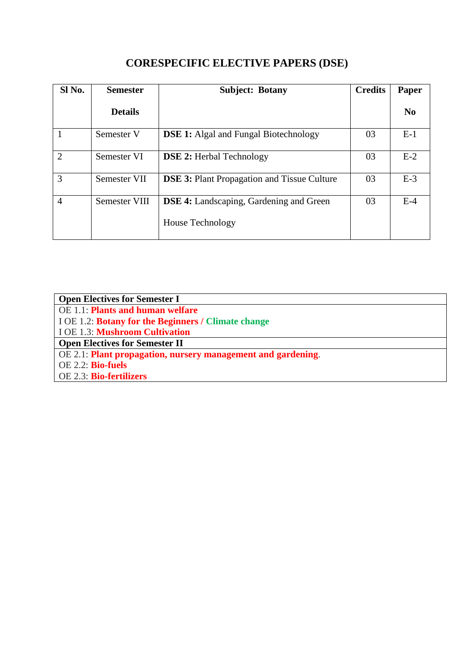| Sl No.         | <b>Semester</b> | <b>Credits</b><br><b>Subject: Botany</b>           |    | <b>Paper</b>   |
|----------------|-----------------|----------------------------------------------------|----|----------------|
|                | <b>Details</b>  |                                                    |    | N <sub>0</sub> |
|                | Semester V      | <b>DSE 1:</b> Algal and Fungal Biotechnology       | 03 | $E-1$          |
| $\overline{2}$ | Semester VI     | <b>DSE 2:</b> Herbal Technology                    | 03 | $E-2$          |
| 3              | Semester VII    | <b>DSE 3: Plant Propagation and Tissue Culture</b> | 03 | $E-3$          |
| $\overline{4}$ | Semester VIII   | <b>DSE 4:</b> Landscaping, Gardening and Green     | 03 | $E-4$          |
|                |                 | <b>House Technology</b>                            |    |                |

### **CORESPECIFIC ELECTIVE PAPERS (DSE)**

| <b>Open Electives for Semester I</b>                         |
|--------------------------------------------------------------|
| OE 1.1: Plants and human welfare                             |
| I OE 1.2: <b>Botany for the Beginners / Climate change</b>   |
| I OE 1.3: Mushroom Cultivation                               |
| <b>Open Electives for Semester II</b>                        |
| OE 2.1: Plant propagation, nursery management and gardening. |
| <b>OE 2.2: Bio-fuels</b>                                     |
| OE 2.3: Bio-fertilizers                                      |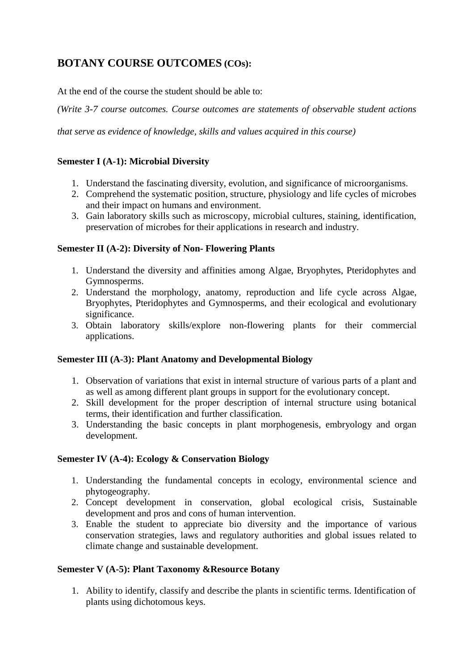### **BOTANY COURSE OUTCOMES (COs):**

At the end of the course the student should be able to:

*(Write 3-7 course outcomes. Course outcomes are statements of observable student actions*

*that serve as evidence of knowledge, skills and values acquired in this course)*

#### **Semester I (A-1): Microbial Diversity**

- 1. Understand the fascinating diversity, evolution, and significance of microorganisms.
- 2. Comprehend the systematic position, structure, physiology and life cycles of microbes and their impact on humans and environment.
- 3. Gain laboratory skills such as microscopy, microbial cultures, staining, identification, preservation of microbes for their applications in research and industry.

#### **Semester II (A-2): Diversity of Non- Flowering Plants**

- 1. Understand the diversity and affinities among Algae, Bryophytes, Pteridophytes and Gymnosperms.
- 2. Understand the morphology, anatomy, reproduction and life cycle across Algae, Bryophytes, Pteridophytes and Gymnosperms, and their ecological and evolutionary significance.
- 3. Obtain laboratory skills/explore non-flowering plants for their commercial applications.

#### **Semester III (A-3): Plant Anatomy and Developmental Biology**

- 1. Observation of variations that exist in internal structure of various parts of a plant and as well as among different plant groups in support for the evolutionary concept.
- 2. Skill development for the proper description of internal structure using botanical terms, their identification and further classification.
- 3. Understanding the basic concepts in plant morphogenesis, embryology and organ development.

#### **Semester IV (A-4): Ecology & Conservation Biology**

- 1. Understanding the fundamental concepts in ecology, environmental science and phytogeography.
- 2. Concept development in conservation, global ecological crisis, Sustainable development and pros and cons of human intervention.
- 3. Enable the student to appreciate bio diversity and the importance of various conservation strategies, laws and regulatory authorities and global issues related to climate change and sustainable development.

#### **Semester V (A-5): Plant Taxonomy &Resource Botany**

1. Ability to identify, classify and describe the plants in scientific terms. Identification of plants using dichotomous keys.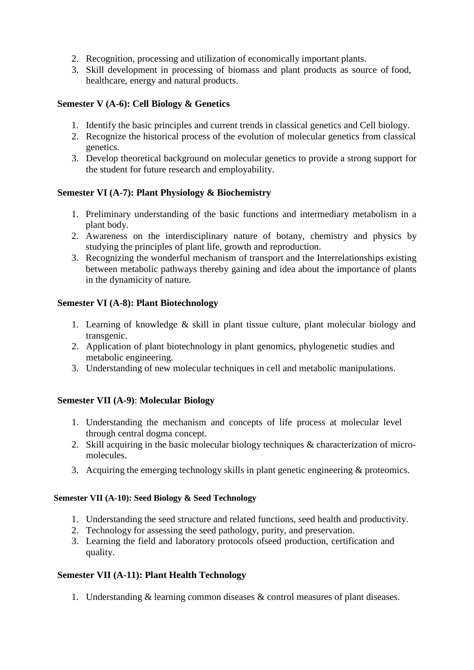- 2. Recognition, processing and utilization of economically important plants.
- 3. Skill development in processing of biomass and plant products as source of food, healthcare, energy and natural products.

#### **Semester V (A-6): Cell Biology & Genetics**

- 1. Identify the basic principles and current trends in classical genetics and Cell biology.
- 2. Recognize the historical process of the evolution of molecular genetics from classical genetics.
- 3. Develop theoretical background on molecular genetics to provide a strong support for the student for future research and employability.

#### **Semester VI (A-7): Plant Physiology & Biochemistry**

- 1. Preliminary understanding of the basic functions and intermediary metabolism in a plant body.
- 2. Awareness on the interdisciplinary nature of botany, chemistry and physics by studying the principles of plant life, growth and reproduction.
- 3. Recognizing the wonderful mechanism of transport and the Interrelationships existing between metabolic pathways thereby gaining and idea about the importance of plants in the dynamicity of nature.

#### **Semester VI (A-8): Plant Biotechnology**

- 1. Learning of knowledge & skill in plant tissue culture, plant molecular biology and transgenic.
- 2. Application of plant biotechnology in plant genomics, phylogenetic studies and metabolic engineering.
- 3. Understanding of new molecular techniques in cell and metabolic manipulations.

#### **Semester VII (A-9)**: **Molecular Biology**

- 1. Understanding the mechanism and concepts of life process at molecular level through central dogma concept.
- 2. Skill acquiring in the basic molecular biology techniques & characterization of micromolecules.
- 3. Acquiring the emerging technology skills in plant genetic engineering & proteomics.

#### **Semester VII (A-10): Seed Biology & Seed Technology**

- 1. Understanding the seed structure and related functions, seed health and productivity.
- 2. Technology for assessing the seed pathology, purity, and preservation.
- 3. Learning the field and laboratory protocols ofseed production, certification and quality.

#### **Semester VII (A-11): Plant Health Technology**

1. Understanding & learning common diseases & control measures of plant diseases.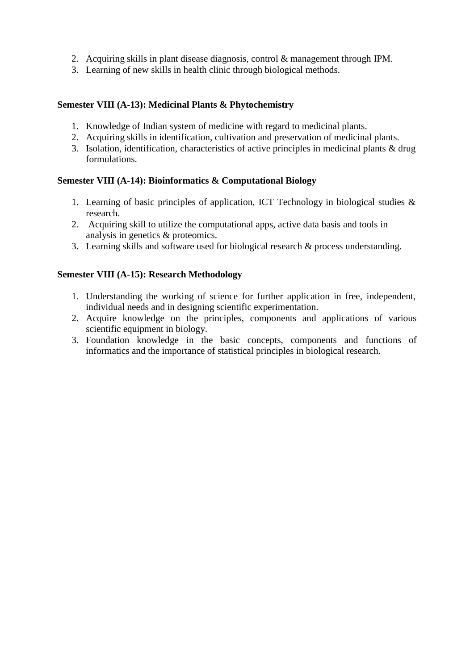- 2. Acquiring skills in plant disease diagnosis, control & management through IPM.
- 3. Learning of new skills in health clinic through biological methods.

#### **Semester VIII (A-13): Medicinal Plants & Phytochemistry**

- 1. Knowledge of Indian system of medicine with regard to medicinal plants.
- 2. Acquiring skills in identification, cultivation and preservation of medicinal plants.
- 3. Isolation, identification, characteristics of active principles in medicinal plants & drug formulations.

#### **Semester VIII (A-14): Bioinformatics & Computational Biology**

- 1. Learning of basic principles of application, ICT Technology in biological studies & research.
- 2. Acquiring skill to utilize the computational apps, active data basis and tools in analysis in genetics & proteomics.
- 3. Learning skills and software used for biological research & process understanding.

#### **Semester VIII (A-15): Research Methodology**

- 1. Understanding the working of science for further application in free, independent, individual needs and in designing scientific experimentation.
- 2. Acquire knowledge on the principles, components and applications of various scientific equipment in biology.
- 3. Foundation knowledge in the basic concepts, components and functions of informatics and the importance of statistical principles in biological research.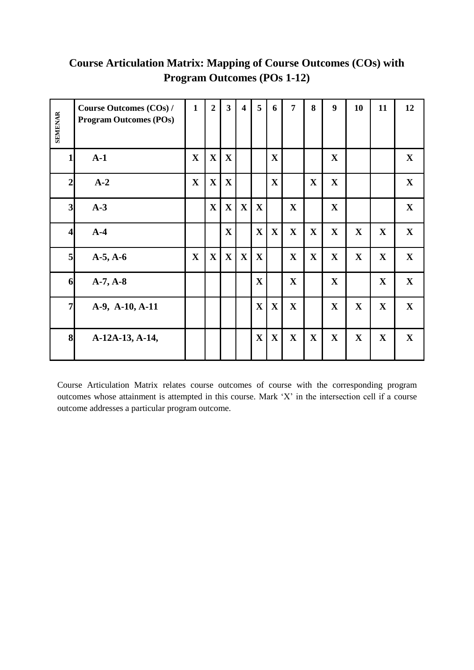| <b>SEMENAR</b>          | <b>Course Outcomes (COs) /</b><br><b>Program Outcomes (POs)</b> | $\mathbf{1}$ | $\overline{2}$ | $\mathbf{3}$ | $\overline{\mathbf{4}}$ | $5\overline{)}$ | 6            | $\overline{7}$ | 8            | 9            | 10          | 11           | 12          |
|-------------------------|-----------------------------------------------------------------|--------------|----------------|--------------|-------------------------|-----------------|--------------|----------------|--------------|--------------|-------------|--------------|-------------|
| $\mathbf{1}$            | $A-1$                                                           | $\mathbf{X}$ | $\mathbf X$    | $\mathbf X$  |                         |                 | X            |                |              | $\mathbf{X}$ |             |              | $\mathbf X$ |
| $\mathbf{2}$            | $A-2$                                                           | $\mathbf X$  | $\mathbf X$    | $\mathbf{X}$ |                         |                 | $\mathbf X$  |                | $\mathbf{X}$ | $\mathbf X$  |             |              | $\mathbf X$ |
| 3 <sub>l</sub>          | $A-3$                                                           |              | $\mathbf X$    | $\mathbf X$  | $\mathbf X$             | $\mathbf{X}$    |              | $\mathbf{X}$   |              | $\mathbf{X}$ |             |              | $\mathbf X$ |
| $\overline{\mathbf{4}}$ | $A-4$                                                           |              |                | $\mathbf{X}$ |                         | $\mathbf X$     | $\mathbf X$  | $\mathbf{X}$   | $\mathbf{X}$ | $\mathbf{X}$ | $\mathbf X$ | $\mathbf X$  | $\mathbf X$ |
| 5                       | $A-5, A-6$                                                      | $\mathbf{X}$ | $\mathbf X$    | $\mathbf X$  | $\mathbf X$             | $\mathbf X$     |              | $\mathbf{X}$   | $\mathbf{X}$ | $\mathbf X$  | $\mathbf X$ | $\mathbf{X}$ | $\mathbf X$ |
| 6                       | $A-7, A-8$                                                      |              |                |              |                         | $\mathbf{X}$    |              | $\mathbf{X}$   |              | $\mathbf X$  |             | $\mathbf{X}$ | $\mathbf X$ |
| $\overline{7}$          | A-9, A-10, A-11                                                 |              |                |              |                         | $\mathbf X$     | $\mathbf X$  | $\mathbf{X}$   |              | $\mathbf X$  | $\mathbf X$ | $\mathbf X$  | $\mathbf X$ |
| 8                       | A-12A-13, A-14,                                                 |              |                |              |                         | $\mathbf X$     | $\mathbf{X}$ | $\mathbf{X}$   | $\mathbf{X}$ | $\mathbf X$  | $\mathbf X$ | $\mathbf X$  | $\mathbf X$ |

### **Course Articulation Matrix: Mapping of Course Outcomes (COs) with Program Outcomes (POs 1-12)**

Course Articulation Matrix relates course outcomes of course with the corresponding program outcomes whose attainment is attempted in this course. Mark 'X' in the intersection cell if a course outcome addresses a particular program outcome.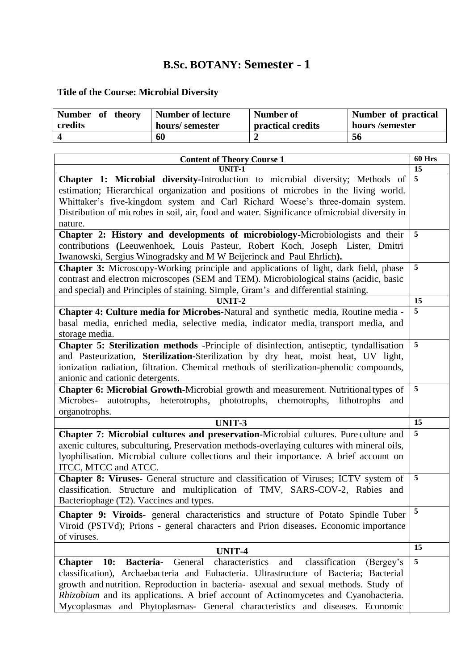### **B.Sc. BOTANY: Semester - 1**

### **Title of the Course: Microbial Diversity**

| Number of theory | Number of lecture | Number of         | Number of practical |
|------------------|-------------------|-------------------|---------------------|
| credits          | hours/semester    | practical credits | hours /semester     |
|                  | 60                |                   | 56                  |

| <b>Content of Theory Course 1</b>                                                                                                                                                                                                                                                                                                                                                                                                                              | <b>60 Hrs</b>  |
|----------------------------------------------------------------------------------------------------------------------------------------------------------------------------------------------------------------------------------------------------------------------------------------------------------------------------------------------------------------------------------------------------------------------------------------------------------------|----------------|
| UNIT-1                                                                                                                                                                                                                                                                                                                                                                                                                                                         | 15             |
| Chapter 1: Microbial diversity-Introduction to microbial diversity; Methods of<br>estimation; Hierarchical organization and positions of microbes in the living world.<br>Whittaker's five-kingdom system and Carl Richard Woese's three-domain system.<br>Distribution of microbes in soil, air, food and water. Significance ofmicrobial diversity in<br>nature.                                                                                             | $\overline{5}$ |
| Chapter 2: History and developments of microbiology-Microbiologists and their<br>contributions (Leeuwenhoek, Louis Pasteur, Robert Koch, Joseph Lister, Dmitri<br>Iwanowski, Sergius Winogradsky and M W Beijerinck and Paul Ehrlich).                                                                                                                                                                                                                         | 5              |
| Chapter 3: Microscopy-Working principle and applications of light, dark field, phase<br>contrast and electron microscopes (SEM and TEM). Microbiological stains (acidic, basic<br>and special) and Principles of staining. Simple, Gram's and differential staining.                                                                                                                                                                                           | 5              |
| UNIT-2                                                                                                                                                                                                                                                                                                                                                                                                                                                         | 15             |
| Chapter 4: Culture media for Microbes-Natural and synthetic media, Routine media -<br>basal media, enriched media, selective media, indicator media, transport media, and<br>storage media.                                                                                                                                                                                                                                                                    | 5              |
| Chapter 5: Sterilization methods -Principle of disinfection, antiseptic, tyndallisation<br>and Pasteurization, Sterilization-Sterilization by dry heat, moist heat, UV light,<br>ionization radiation, filtration. Chemical methods of sterilization-phenolic compounds,<br>anionic and cationic detergents.                                                                                                                                                   | 5              |
| Chapter 6: Microbial Growth-Microbial growth and measurement. Nutritional types of<br>Microbes- autotrophs, heterotrophs, phototrophs,<br>chemotrophs,<br>lithotrophs<br>and<br>organotrophs.                                                                                                                                                                                                                                                                  | 5              |
| UNIT-3                                                                                                                                                                                                                                                                                                                                                                                                                                                         | 15             |
| Chapter 7: Microbial cultures and preservation-Microbial cultures. Pure culture and<br>axenic cultures, subculturing, Preservation methods-overlaying cultures with mineral oils,<br>lyophilisation. Microbial culture collections and their importance. A brief account on<br>ITCC, MTCC and ATCC.                                                                                                                                                            | 5              |
| Chapter 8: Viruses- General structure and classification of Viruses; ICTV system of<br>classification. Structure and multiplication of TMV, SARS-COV-2, Rabies and<br>Bacteriophage (T2). Vaccines and types.                                                                                                                                                                                                                                                  | 5              |
| <b>Chapter 9: Viroids-</b> general characteristics and structure of Potato Spindle Tuber<br>Viroid (PSTVd); Prions - general characters and Prion diseases. Economic importance<br>of viruses.                                                                                                                                                                                                                                                                 | 5              |
| UNIT-4                                                                                                                                                                                                                                                                                                                                                                                                                                                         | 15             |
| characteristics<br>10:<br>Bacteria-<br>General<br>and<br>classification<br><b>Chapter</b><br>(Bergey's<br>classification), Archaebacteria and Eubacteria. Ultrastructure of Bacteria; Bacterial<br>growth and nutrition. Reproduction in bacteria- asexual and sexual methods. Study of<br>Rhizobium and its applications. A brief account of Actinomycetes and Cyanobacteria.<br>Mycoplasmas and Phytoplasmas- General characteristics and diseases. Economic | 5              |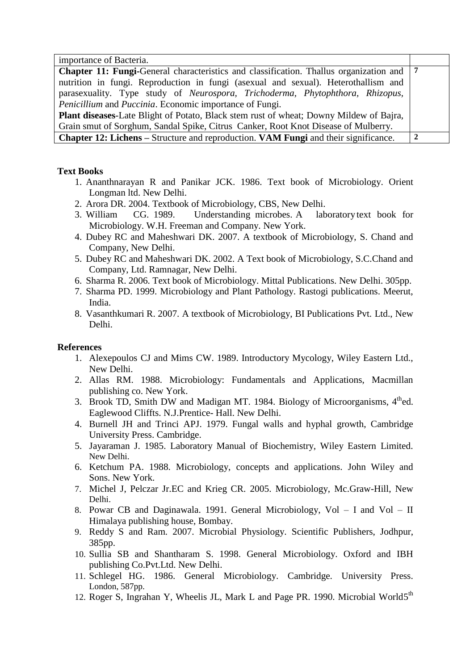| importance of Bacteria.                                                                                       |              |
|---------------------------------------------------------------------------------------------------------------|--------------|
| <b>Chapter 11: Fungi-</b> General characteristics and classification. Thallus organization and 17             |              |
| nutrition in fungi. Reproduction in fungi (asexual and sexual). Heterothallism and                            |              |
| parasexuality. Type study of <i>Neurospora</i> , <i>Trichoderma</i> , <i>Phytophthora</i> , <i>Rhizopus</i> , |              |
| <i>Penicillium</i> and <i>Puccinia</i> . Economic importance of Fungi.                                        |              |
| <b>Plant diseases-Late Blight of Potato, Black stem rust of wheat; Downy Mildew of Bajra,</b>                 |              |
| Grain smut of Sorghum, Sandal Spike, Citrus Canker, Root Knot Disease of Mulberry.                            |              |
| <b>Chapter 12: Lichens</b> – Structure and reproduction. <b>VAM Fungi</b> and their significance.             | $\mathbf{2}$ |

#### **Text Books**

- 1. Ananthnarayan R and Panikar JCK. 1986. Text book of Microbiology. Orient Longman ltd. New Delhi.
- 2. Arora DR. 2004. Textbook of Microbiology, CBS, New Delhi.
- 3. William CG. 1989. Understanding microbes. A laboratory text book for Microbiology. W.H. Freeman and Company. New York.
- 4. Dubey RC and Maheshwari DK. 2007. A textbook of Microbiology, S. Chand and Company, New Delhi.
- 5. Dubey RC and Maheshwari DK. 2002. A Text book of Microbiology, S.C.Chand and Company, Ltd. Ramnagar, New Delhi.
- 6. Sharma R. 2006. Text book of Microbiology. Mittal Publications. New Delhi. 305pp.
- 7. Sharma PD. 1999. Microbiology and Plant Pathology. Rastogi publications. Meerut, India.
- 8. Vasanthkumari R. 2007. A textbook of Microbiology, BI Publications Pvt. Ltd., New Delhi.

#### **References**

- 1. Alexepoulos CJ and Mims CW. 1989. Introductory Mycology, Wiley Eastern Ltd., New Delhi.
- 2. Allas RM. 1988. Microbiology: Fundamentals and Applications, Macmillan publishing co. New York.
- 3. Brook TD, Smith DW and Madigan MT. 1984. Biology of Microorganisms, 4<sup>th</sup>ed. Eaglewood Cliffts. N.J.Prentice- Hall. New Delhi.
- 4. Burnell JH and Trinci APJ. 1979. Fungal walls and hyphal growth, Cambridge University Press. Cambridge.
- 5. Jayaraman J. 1985. Laboratory Manual of Biochemistry, Wiley Eastern Limited. New Delhi.
- 6. Ketchum PA. 1988. Microbiology, concepts and applications. John Wiley and Sons. New York.
- 7. Michel J, Pelczar Jr.EC and Krieg CR. 2005. Microbiology, Mc.Graw-Hill, New Delhi.
- 8. Powar CB and Daginawala. 1991. General Microbiology, Vol I and Vol II Himalaya publishing house, Bombay.
- 9. Reddy S and Ram*.* 2007. Microbial Physiology. Scientific Publishers, Jodhpur, 385pp.
- 10. Sullia SB and Shantharam S. 1998. General Microbiology. Oxford and IBH publishing Co.Pvt.Ltd. New Delhi.
- 11. Schlegel HG. 1986. General Microbiology. Cambridge. University Press. London, 587pp.
- 12. Roger S, Ingrahan Y, Wheelis JL, Mark L and Page PR. 1990. Microbial World5<sup>th</sup>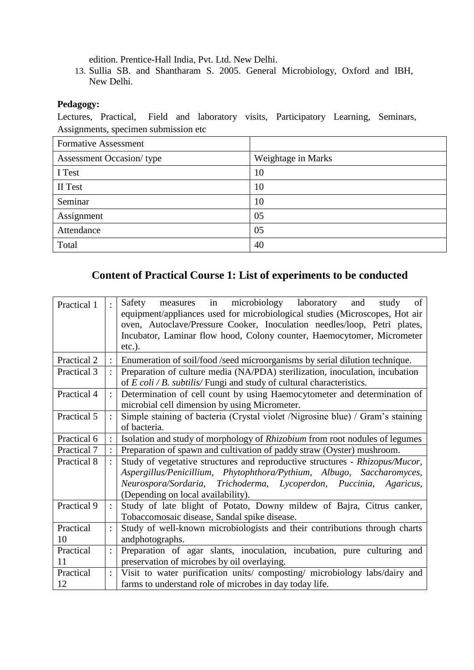edition. Prentice-Hall India, Pvt. Ltd. New Delhi.

13. Sullia SB. and Shantharam S. 2005. General Microbiology, Oxford and IBH, New Delhi.

#### **Pedagogy:**

Lectures, Practical, Field and laboratory visits, Participatory Learning, Seminars, Assignments, specimen submission etc

| <b>Formative Assessment</b>     |                    |
|---------------------------------|--------------------|
| <b>Assessment Occasion/type</b> | Weightage in Marks |
| I Test                          | 10                 |
| II Test                         | 10                 |
| Seminar                         | 10                 |
| Assignment                      | 05                 |
| Attendance                      | 05                 |
| Total                           | 40                 |

#### **Content of Practical Course 1: List of experiments to be conducted**

| Practical 1     | in microbiology laboratory<br>Safety measures<br>and<br>of<br>study<br>equipment/appliances used for microbiological studies (Microscopes, Hot air<br>oven, Autoclave/Pressure Cooker, Inoculation needles/loop, Petri plates,<br>Incubator, Laminar flow hood, Colony counter, Haemocytomer, Micrometer<br>$etc.$ ). |
|-----------------|-----------------------------------------------------------------------------------------------------------------------------------------------------------------------------------------------------------------------------------------------------------------------------------------------------------------------|
| Practical 2     | Enumeration of soil/food /seed microorganisms by serial dilution technique.                                                                                                                                                                                                                                           |
| Practical 3     | Preparation of culture media (NA/PDA) sterilization, inoculation, incubation<br>of $E \text{ } coli / B$ . subtilis/ Fungi and study of cultural characteristics.                                                                                                                                                     |
| Practical 4     | Determination of cell count by using Haemocytometer and determination of<br>microbial cell dimension by using Micrometer.                                                                                                                                                                                             |
| Practical 5     | Simple staining of bacteria (Crystal violet /Nigrosine blue) / Gram's staining<br>of bacteria.                                                                                                                                                                                                                        |
| Practical 6     | Isolation and study of morphology of Rhizobium from root nodules of legumes                                                                                                                                                                                                                                           |
| Practical 7     | Preparation of spawn and cultivation of paddy straw (Oyster) mushroom.                                                                                                                                                                                                                                                |
| Practical 8     | Study of vegetative structures and reproductive structures - Rhizopus/Mucor,<br>Aspergillus/Penicillium, Phytophthora/Pythium, Albugo, Saccharomyces,<br>Neurospora/Sordaria, Trichoderma, Lycoperdon, Puccinia, Agaricus,<br>(Depending on local availability).                                                      |
| Practical 9     | Study of late blight of Potato, Downy mildew of Bajra, Citrus canker,<br>Tobaccomosaic disease, Sandal spike disease.                                                                                                                                                                                                 |
| Practical<br>10 | Study of well-known microbiologists and their contributions through charts<br>andphotographs.                                                                                                                                                                                                                         |
| Practical       | Preparation of agar slants, inoculation, incubation, pure culturing and                                                                                                                                                                                                                                               |
| 11              | preservation of microbes by oil overlaying.                                                                                                                                                                                                                                                                           |
| Practical       | Visit to water purification units/composting/microbiology labs/dairy and                                                                                                                                                                                                                                              |
| 12              | farms to understand role of microbes in day today life.                                                                                                                                                                                                                                                               |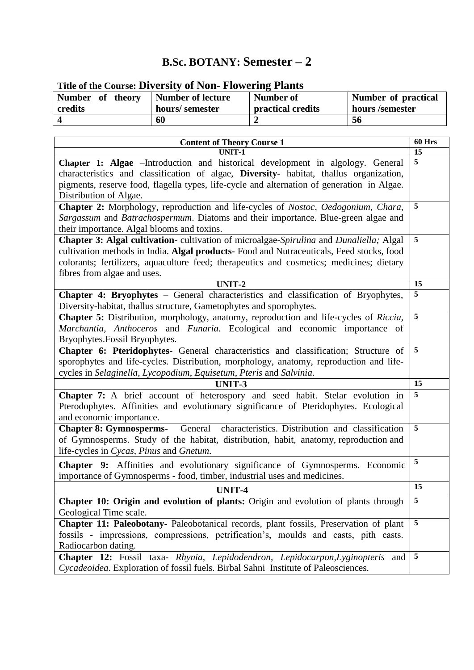### **B.Sc. BOTANY: Semester – 2**

| THE OF the Course. Diversity of Typii-Thowering Trants |                          |                          |                     |  |  |  |
|--------------------------------------------------------|--------------------------|--------------------------|---------------------|--|--|--|
| Number of theory                                       | <b>Number of lecture</b> | Number of                | Number of practical |  |  |  |
| credits                                                | hours/semester           | <b>practical credits</b> | hours /semester     |  |  |  |
|                                                        | 60                       |                          | 56                  |  |  |  |

### **Title of the Course: Diversity of Non- Flowering Plants**

| <b>Content of Theory Course 1</b>                                                             | <b>60 Hrs</b>  |
|-----------------------------------------------------------------------------------------------|----------------|
| <b>UNIT-1</b>                                                                                 | 15             |
| Chapter 1: Algae -Introduction and historical development in algology. General                | 5              |
| characteristics and classification of algae, Diversity- habitat, thallus organization,        |                |
| pigments, reserve food, flagella types, life-cycle and alternation of generation in Algae.    |                |
| Distribution of Algae.                                                                        |                |
| Chapter 2: Morphology, reproduction and life-cycles of Nostoc, Oedogonium, Chara,             | 5              |
| Sargassum and Batrachospermum. Diatoms and their importance. Blue-green algae and             |                |
| their importance. Algal blooms and toxins.                                                    |                |
| Chapter 3: Algal cultivation-cultivation of microalgae-Spirulina and Dunaliella; Algal        | 5              |
| cultivation methods in India. Algal products- Food and Nutraceuticals, Feed stocks, food      |                |
| colorants; fertilizers, aquaculture feed; therapeutics and cosmetics; medicines; dietary      |                |
| fibres from algae and uses.                                                                   |                |
| <b>UNIT-2</b>                                                                                 | 15             |
| Chapter 4: Bryophytes - General characteristics and classification of Bryophytes,             | 5              |
| Diversity-habitat, thallus structure, Gametophytes and sporophytes.                           |                |
| Chapter 5: Distribution, morphology, anatomy, reproduction and life-cycles of Riccia,         | 5              |
| Marchantia, Anthoceros and Funaria. Ecological and economic importance of                     |                |
| Bryophytes. Fossil Bryophytes.                                                                |                |
| Chapter 6: Pteridophytes- General characteristics and classification; Structure of            | 5              |
| sporophytes and life-cycles. Distribution, morphology, anatomy, reproduction and life-        |                |
| cycles in Selaginella, Lycopodium, Equisetum, Pteris and Salvinia.                            |                |
| UNIT-3                                                                                        | 15             |
| Chapter 7: A brief account of heterospory and seed habit. Stelar evolution in                 | 5              |
| Pterodophytes. Affinities and evolutionary significance of Pteridophytes. Ecological          |                |
| and economic importance.                                                                      |                |
| characteristics. Distribution and classification<br>General<br><b>Chapter 8: Gymnosperms-</b> | 5              |
| of Gymnosperms. Study of the habitat, distribution, habit, anatomy, reproduction and          |                |
| life-cycles in Cycas, Pinus and Gnetum.                                                       |                |
| Chapter 9: Affinities and evolutionary significance of Gymnosperms. Economic                  | 5              |
| importance of Gymnosperms - food, timber, industrial uses and medicines.                      |                |
|                                                                                               | 15             |
| UNIT-4                                                                                        | 5              |
| Chapter 10: Origin and evolution of plants: Origin and evolution of plants through            |                |
| Geological Time scale.                                                                        | 5              |
| Chapter 11: Paleobotany- Paleobotanical records, plant fossils, Preservation of plant         |                |
| fossils - impressions, compressions, petrification's, moulds and casts, pith casts.           |                |
| Radiocarbon dating.                                                                           |                |
| Chapter 12: Fossil taxa- Rhynia, Lepidodendron, Lepidocarpon, Lyginopteris and                | $\overline{5}$ |
| Cycadeoidea. Exploration of fossil fuels. Birbal Sahni Institute of Paleosciences.            |                |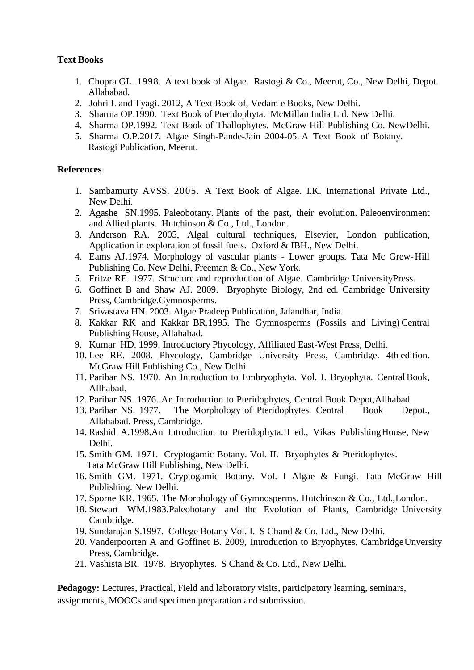#### **Text Books**

- 1. Chopra GL. 1998. A text book of Algae. Rastogi & Co., Meerut, Co., New Delhi, Depot. Allahabad.
- 2. Johri L and Tyagi. 2012, A Text Book of, Vedam e Books, New Delhi.
- 3. Sharma OP.1990. Text Book of Pteridophyta. McMillan India Ltd. New Delhi.
- 4. Sharma OP.1992. Text Book of Thallophytes. McGraw Hill Publishing Co. NewDelhi.
- 5. Sharma O.P.2017. Algae Singh-Pande-Jain 2004-05. A Text Book of Botany. Rastogi Publication, Meerut.

#### **References**

- 1. Sambamurty AVSS. 2005. A Text Book of Algae. I.K. International Private Ltd., New Delhi.
- 2. Agashe SN.1995. Paleobotany. Plants of the past, their evolution. Paleoenvironment and Allied plants. Hutchinson & Co., Ltd., London.
- 3. Anderson RA. 2005, Algal cultural techniques, Elsevier, London publication, Application in exploration of fossil fuels. Oxford & IBH., New Delhi.
- 4. Eams AJ.1974. Morphology of vascular plants Lower groups. Tata Mc Grew-Hill Publishing Co. New Delhi, Freeman & Co., New York.
- 5. Fritze RE. 1977. Structure and reproduction of Algae. Cambridge UniversityPress.
- 6. Goffinet B and Shaw AJ. 2009. Bryophyte Biology, 2nd ed. Cambridge University Press, Cambridge.Gymnosperms.
- 7. Srivastava HN. 2003. Algae Pradeep Publication, Jalandhar, India.
- 8. Kakkar RK and Kakkar BR.1995. The Gymnosperms (Fossils and Living) Central Publishing House, Allahabad.
- 9. Kumar HD. 1999. Introductory Phycology, Affiliated East-West Press, Delhi.
- 10. Lee RE. 2008. Phycology, Cambridge University Press, Cambridge. 4th edition. McGraw Hill Publishing Co., New Delhi.
- 11. Parihar NS. 1970. An Introduction to Embryophyta. Vol. I. Bryophyta. CentralBook, Allhabad.
- 12. Parihar NS. 1976. An Introduction to Pteridophytes, Central Book Depot,Allhabad.
- 13. Parihar NS. 1977. The Morphology of Pteridophytes. Central Book Depot., Allahabad. Press, Cambridge.
- 14. Rashid A.1998.An Introduction to Pteridophyta.II ed., Vikas PublishingHouse, New Delhi.
- 15. Smith GM. 1971. Cryptogamic Botany. Vol. II. Bryophytes & Pteridophytes. Tata McGraw Hill Publishing, New Delhi.
- 16. Smith GM. 1971. Cryptogamic Botany. Vol. I Algae & Fungi. Tata McGraw Hill Publishing. New Delhi.
- 17. Sporne KR. 1965. The Morphology of Gymnosperms. Hutchinson & Co., Ltd.,London.
- 18. Stewart WM.1983.Paleobotany and the Evolution of Plants, Cambridge University Cambridge.
- 19. Sundarajan S.1997. College Botany Vol. I. S Chand & Co. Ltd., New Delhi.
- 20. Vanderpoorten A and Goffinet B. 2009, Introduction to Bryophytes, CambridgeUnversity Press, Cambridge.
- 21. Vashista BR. 1978. Bryophytes. S Chand & Co. Ltd., New Delhi.

**Pedagogy:** Lectures, Practical, Field and laboratory visits, participatory learning, seminars, assignments, MOOCs and specimen preparation and submission.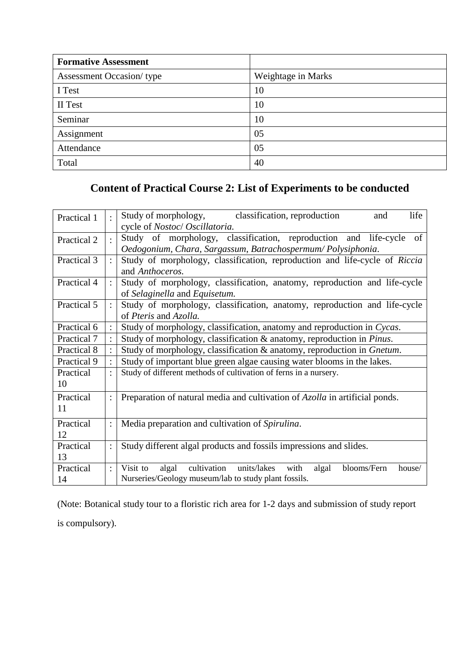| <b>Formative Assessment</b>     |                    |
|---------------------------------|--------------------|
| <b>Assessment Occasion/type</b> | Weightage in Marks |
| I Test                          | 10                 |
| II Test                         | 10                 |
| Seminar                         | 10                 |
| Assignment                      | 05                 |
| Attendance                      | 05                 |
| Total                           | 40                 |

### **Content of Practical Course 2: List of Experiments to be conducted**

| Practical 1     |                | Study of morphology,<br>classification, reproduction<br>life<br>and<br>cycle of Nostoc/ Oscillatoria.                                          |  |  |
|-----------------|----------------|------------------------------------------------------------------------------------------------------------------------------------------------|--|--|
| Practical 2     |                | Study of morphology, classification, reproduction and life-cycle of<br>Oedogonium, Chara, Sargassum, Batrachospermum/Polysiphonia.             |  |  |
| Practical 3     |                | Study of morphology, classification, reproduction and life-cycle of Riccia<br>and Anthoceros.                                                  |  |  |
| Practical 4     |                | Study of morphology, classification, anatomy, reproduction and life-cycle<br>of Selaginella and Equisetum.                                     |  |  |
| Practical 5     |                | Study of morphology, classification, anatomy, reproduction and life-cycle<br>of Pteris and Azolla.                                             |  |  |
| Practical 6     |                | Study of morphology, classification, anatomy and reproduction in Cycas.                                                                        |  |  |
| Practical 7     |                | Study of morphology, classification & anatomy, reproduction in <i>Pinus</i> .                                                                  |  |  |
| Practical 8     |                | Study of morphology, classification & anatomy, reproduction in Gnetum.                                                                         |  |  |
| Practical 9     |                | Study of important blue green algae causing water blooms in the lakes.                                                                         |  |  |
| Practical<br>10 |                | Study of different methods of cultivation of ferns in a nursery.                                                                               |  |  |
| Practical<br>11 |                | Preparation of natural media and cultivation of Azolla in artificial ponds.                                                                    |  |  |
| Practical<br>12 |                | Media preparation and cultivation of Spirulina.                                                                                                |  |  |
| Practical<br>13 |                | Study different algal products and fossils impressions and slides.                                                                             |  |  |
| Practical<br>14 | $\ddot{\cdot}$ | cultivation units/lakes<br>with<br>blooms/Fern<br>Visit to<br>algal<br>algal<br>house/<br>Nurseries/Geology museum/lab to study plant fossils. |  |  |

(Note: Botanical study tour to a floristic rich area for 1-2 days and submission of study report is compulsory).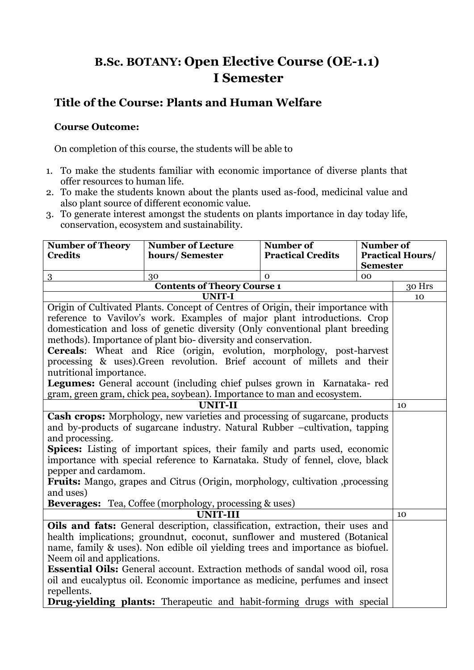### **B.Sc. BOTANY: Open Elective Course (OE-1.1) I Semester**

### **Title of the Course: Plants and Human Welfare**

#### **Course Outcome:**

On completion of this course, the students will be able to

- 1. To make the students familiar with economic importance of diverse plants that offer resources to human life.
- 2. To make the students known about the plants used as-food, medicinal value and also plant source of different economic value.
- 3. To generate interest amongst the students on plants importance in day today life, conservation, ecosystem and sustainability.

| <b>Number of Theory</b>                                                                                 | <b>Number of Lecture</b>                                                         | Number of                | Number of       |                         |
|---------------------------------------------------------------------------------------------------------|----------------------------------------------------------------------------------|--------------------------|-----------------|-------------------------|
| <b>Credits</b>                                                                                          | hours/Semester                                                                   | <b>Practical Credits</b> |                 | <b>Practical Hours/</b> |
|                                                                                                         |                                                                                  |                          | <b>Semester</b> |                         |
| 3                                                                                                       | 30                                                                               | $\Omega$                 | 00              |                         |
|                                                                                                         | <b>Contents of Theory Course 1</b>                                               |                          |                 | 30 Hrs                  |
|                                                                                                         | <b>UNIT-I</b>                                                                    |                          |                 | 10                      |
|                                                                                                         | Origin of Cultivated Plants. Concept of Centres of Origin, their importance with |                          |                 |                         |
|                                                                                                         | reference to Vavilov's work. Examples of major plant introductions. Crop         |                          |                 |                         |
|                                                                                                         | domestication and loss of genetic diversity (Only conventional plant breeding    |                          |                 |                         |
|                                                                                                         | methods). Importance of plant bio-diversity and conservation.                    |                          |                 |                         |
|                                                                                                         | Cereals: Wheat and Rice (origin, evolution, morphology, post-harvest             |                          |                 |                         |
|                                                                                                         | processing & uses). Green revolution. Brief account of millets and their         |                          |                 |                         |
| nutritional importance.                                                                                 |                                                                                  |                          |                 |                         |
|                                                                                                         | Legumes: General account (including chief pulses grown in Karnataka-red          |                          |                 |                         |
| gram, green gram, chick pea, soybean). Importance to man and ecosystem.                                 |                                                                                  |                          |                 |                         |
| <b>UNIT-II</b>                                                                                          |                                                                                  |                          | 10              |                         |
| Cash crops: Morphology, new varieties and processing of sugarcane, products                             |                                                                                  |                          |                 |                         |
| and by-products of sugarcane industry. Natural Rubber -cultivation, tapping                             |                                                                                  |                          |                 |                         |
| and processing.                                                                                         |                                                                                  |                          |                 |                         |
| <b>Spices:</b> Listing of important spices, their family and parts used, economic                       |                                                                                  |                          |                 |                         |
|                                                                                                         | importance with special reference to Karnataka. Study of fennel, clove, black    |                          |                 |                         |
| pepper and cardamom.                                                                                    |                                                                                  |                          |                 |                         |
| Fruits: Mango, grapes and Citrus (Origin, morphology, cultivation ,processing                           |                                                                                  |                          |                 |                         |
| and uses)                                                                                               |                                                                                  |                          |                 |                         |
| <b>Beverages:</b> Tea, Coffee (morphology, processing & uses)                                           |                                                                                  |                          |                 |                         |
| <b>UNIT-III</b><br>10<br>Oils and fats: General description, classification, extraction, their uses and |                                                                                  |                          |                 |                         |
|                                                                                                         |                                                                                  |                          |                 |                         |
| health implications; groundnut, coconut, sunflower and mustered (Botanical                              |                                                                                  |                          |                 |                         |
| name, family & uses). Non edible oil yielding trees and importance as biofuel.                          |                                                                                  |                          |                 |                         |
| Neem oil and applications.                                                                              |                                                                                  |                          |                 |                         |
| <b>Essential Oils:</b> General account. Extraction methods of sandal wood oil, rosa                     |                                                                                  |                          |                 |                         |
| oil and eucalyptus oil. Economic importance as medicine, perfumes and insect                            |                                                                                  |                          |                 |                         |
| repellents.                                                                                             |                                                                                  |                          |                 |                         |
|                                                                                                         | <b>Drug-yielding plants:</b> Therapeutic and habit-forming drugs with special    |                          |                 |                         |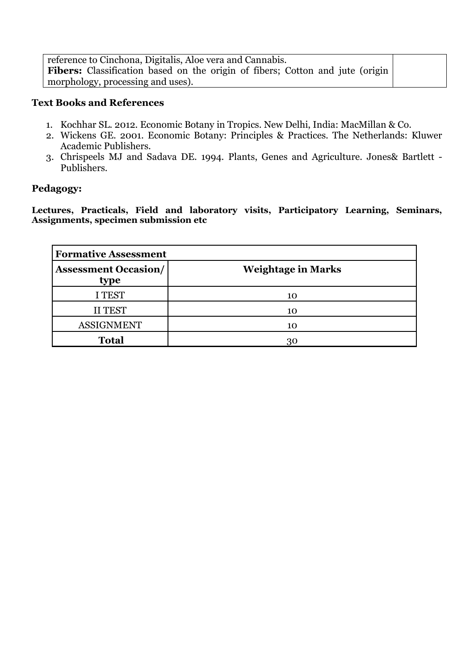reference to Cinchona, Digitalis, Aloe vera and Cannabis. Fibers: Classification based on the origin of fibers; Cotton and jute (origin morphology, processing and uses).

#### **Text Books and References**

- 1. Kochhar SL. 2012. Economic Botany in Tropics. New Delhi, India: MacMillan & Co.
- 2. Wickens GE. 2001. Economic Botany: Principles & Practices. The Netherlands: Kluwer Academic Publishers.
- 3. Chrispeels MJ and Sadava DE. 1994. Plants, Genes and Agriculture. Jones& Bartlett Publishers.

#### **Pedagogy:**

**Lectures, Practicals, Field and laboratory visits, Participatory Learning, Seminars, Assignments, specimen submission etc**

| <b>Formative Assessment</b>         |                           |  |
|-------------------------------------|---------------------------|--|
| <b>Assessment Occasion/</b><br>type | <b>Weightage in Marks</b> |  |
| I TEST                              | 10                        |  |
| <b>II TEST</b>                      | 10                        |  |
| <b>ASSIGNMENT</b>                   | 10                        |  |
| <b>Total</b>                        | 30                        |  |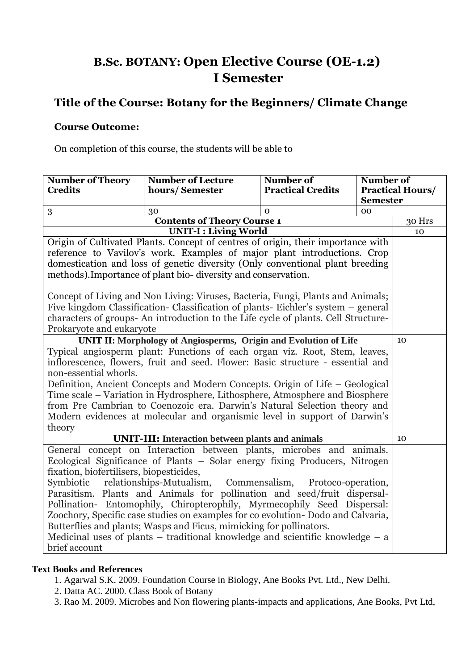### **B.Sc. BOTANY: Open Elective Course (OE-1.2) I Semester**

### **Title of the Course: Botany for the Beginners/ Climate Change**

#### **Course Outcome:**

On completion of this course, the students will be able to

| <b>Number of Theory</b>                                                           | <b>Number of Lecture</b>                                                           | Number of                | Number of       |                         |
|-----------------------------------------------------------------------------------|------------------------------------------------------------------------------------|--------------------------|-----------------|-------------------------|
| <b>Credits</b>                                                                    | hours/Semester                                                                     | <b>Practical Credits</b> |                 | <b>Practical Hours/</b> |
|                                                                                   |                                                                                    |                          | <b>Semester</b> |                         |
| 3                                                                                 | 30                                                                                 | $\Omega$                 | 00              |                         |
|                                                                                   | <b>Contents of Theory Course 1</b>                                                 |                          |                 | 30 Hrs                  |
|                                                                                   | <b>UNIT-I: Living World</b>                                                        |                          |                 | 10                      |
|                                                                                   | Origin of Cultivated Plants. Concept of centres of origin, their importance with   |                          |                 |                         |
|                                                                                   | reference to Vavilov's work. Examples of major plant introductions. Crop           |                          |                 |                         |
|                                                                                   | domestication and loss of genetic diversity (Only conventional plant breeding      |                          |                 |                         |
|                                                                                   | methods). Importance of plant bio-diversity and conservation.                      |                          |                 |                         |
|                                                                                   | Concept of Living and Non Living: Viruses, Bacteria, Fungi, Plants and Animals;    |                          |                 |                         |
|                                                                                   | Five kingdom Classification- Classification of plants- Eichler's system – general  |                          |                 |                         |
|                                                                                   | characters of groups- An introduction to the Life cycle of plants. Cell Structure- |                          |                 |                         |
| Prokaryote and eukaryote                                                          |                                                                                    |                          |                 |                         |
| UNIT II: Morphology of Angiosperms, Origin and Evolution of Life                  |                                                                                    |                          | 10              |                         |
| Typical angiosperm plant: Functions of each organ viz. Root, Stem, leaves,        |                                                                                    |                          |                 |                         |
| inflorescence, flowers, fruit and seed. Flower: Basic structure - essential and   |                                                                                    |                          |                 |                         |
| non-essential whorls.                                                             |                                                                                    |                          |                 |                         |
| Definition, Ancient Concepts and Modern Concepts. Origin of Life – Geological     |                                                                                    |                          |                 |                         |
| Time scale - Variation in Hydrosphere, Lithosphere, Atmosphere and Biosphere      |                                                                                    |                          |                 |                         |
|                                                                                   | from Pre Cambrian to Coenozoic era. Darwin's Natural Selection theory and          |                          |                 |                         |
| Modern evidences at molecular and organismic level in support of Darwin's         |                                                                                    |                          |                 |                         |
| theory                                                                            |                                                                                    |                          |                 |                         |
|                                                                                   | <b>UNIT-III: Interaction between plants and animals</b>                            |                          |                 | 10                      |
|                                                                                   | General concept on Interaction between plants, microbes and animals.               |                          |                 |                         |
|                                                                                   | Ecological Significance of Plants - Solar energy fixing Producers, Nitrogen        |                          |                 |                         |
| fixation, biofertilisers, biopesticides,                                          |                                                                                    |                          |                 |                         |
| relationships-Mutualism,<br>Symbiotic<br>Commensalism,<br>Protoco-operation,      |                                                                                    |                          |                 |                         |
| Parasitism. Plants and Animals for pollination and seed/fruit dispersal-          |                                                                                    |                          |                 |                         |
| Pollination- Entomophily, Chiropterophily, Myrmecophily Seed Dispersal:           |                                                                                    |                          |                 |                         |
| Zoochory, Specific case studies on examples for co evolution- Dodo and Calvaria,  |                                                                                    |                          |                 |                         |
| Butterflies and plants; Wasps and Ficus, mimicking for pollinators.               |                                                                                    |                          |                 |                         |
| Medicinal uses of plants $-$ traditional knowledge and scientific knowledge $-$ a |                                                                                    |                          |                 |                         |
| brief account                                                                     |                                                                                    |                          |                 |                         |

#### **Text Books and References**

- 1. Agarwal S.K. 2009. Foundation Course in Biology, Ane Books Pvt. Ltd., New Delhi.
- 2. Datta AC. 2000. Class Book of Botany
- 3. Rao M. 2009. Microbes and Non flowering plants-impacts and applications, Ane Books, Pvt Ltd,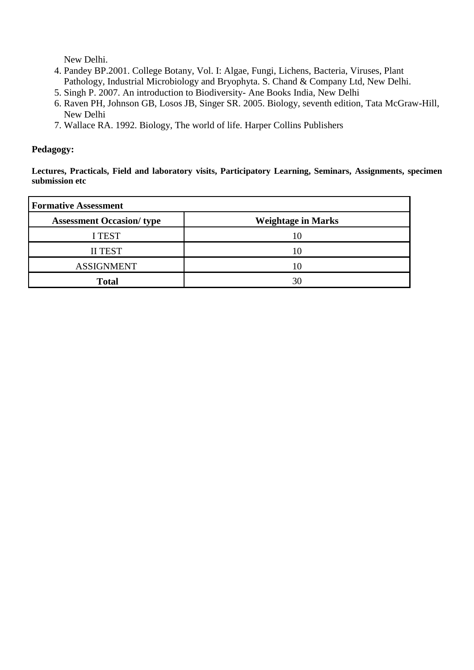New Delhi.

- 4. Pandey BP.2001. College Botany, Vol. I: Algae, Fungi, Lichens, Bacteria, Viruses, Plant Pathology, Industrial Microbiology and Bryophyta. S. Chand & Company Ltd, New Delhi.
- 5. Singh P. 2007. An introduction to Biodiversity- Ane Books India, New Delhi
- 6. Raven PH, Johnson GB, Losos JB, Singer SR. 2005. Biology, seventh edition, Tata McGraw-Hill, New Delhi
- 7. Wallace RA. 1992. Biology, The world of life. Harper Collins Publishers

#### **Pedagogy:**

**Lectures, Practicals, Field and laboratory visits, Participatory Learning, Seminars, Assignments, specimen submission etc**

| <b>Formative Assessment</b>     |                           |  |
|---------------------------------|---------------------------|--|
| <b>Assessment Occasion/type</b> | <b>Weightage in Marks</b> |  |
| <b>I TEST</b>                   | 10                        |  |
| <b>II TEST</b>                  | 10                        |  |
| <b>ASSIGNMENT</b>               | 10                        |  |
| <b>Total</b>                    | 30                        |  |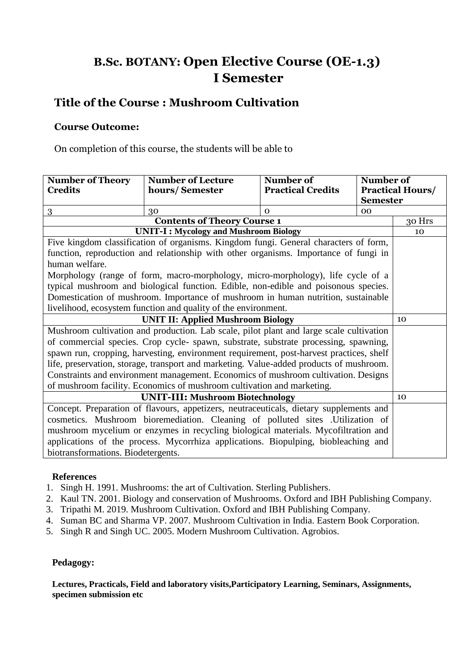### **B.Sc. BOTANY: Open Elective Course (OE-1.3) I Semester**

### **Title of the Course : Mushroom Cultivation**

#### **Course Outcome:**

On completion of this course, the students will be able to

| <b>Number of Theory</b><br><b>Credits</b>                                               | <b>Number of Lecture</b><br>hours/Semester                                           | Number of<br><b>Practical Credits</b> | Number of       | <b>Practical Hours/</b> |
|-----------------------------------------------------------------------------------------|--------------------------------------------------------------------------------------|---------------------------------------|-----------------|-------------------------|
|                                                                                         |                                                                                      |                                       | <b>Semester</b> |                         |
| 3                                                                                       | 30                                                                                   | $\Omega$                              | 0 <sub>0</sub>  |                         |
|                                                                                         | <b>Contents of Theory Course 1</b>                                                   |                                       |                 | 30 Hrs                  |
|                                                                                         | <b>UNIT-I: Mycology and Mushroom Biology</b>                                         |                                       |                 | 10                      |
|                                                                                         | Five kingdom classification of organisms. Kingdom fungi. General characters of form, |                                       |                 |                         |
|                                                                                         | function, reproduction and relationship with other organisms. Importance of fungi in |                                       |                 |                         |
| human welfare.                                                                          |                                                                                      |                                       |                 |                         |
|                                                                                         | Morphology (range of form, macro-morphology, micro-morphology), life cycle of a      |                                       |                 |                         |
|                                                                                         | typical mushroom and biological function. Edible, non-edible and poisonous species.  |                                       |                 |                         |
|                                                                                         | Domestication of mushroom. Importance of mushroom in human nutrition, sustainable    |                                       |                 |                         |
| livelihood, ecosystem function and quality of the environment.                          |                                                                                      |                                       |                 |                         |
| <b>UNIT II: Applied Mushroom Biology</b>                                                |                                                                                      |                                       | 10              |                         |
| Mushroom cultivation and production. Lab scale, pilot plant and large scale cultivation |                                                                                      |                                       |                 |                         |
| of commercial species. Crop cycle-spawn, substrate, substrate processing, spawning,     |                                                                                      |                                       |                 |                         |
| spawn run, cropping, harvesting, environment requirement, post-harvest practices, shelf |                                                                                      |                                       |                 |                         |
| life, preservation, storage, transport and marketing. Value-added products of mushroom. |                                                                                      |                                       |                 |                         |
|                                                                                         | Constraints and environment management. Economics of mushroom cultivation. Designs   |                                       |                 |                         |
| of mushroom facility. Economics of mushroom cultivation and marketing.                  |                                                                                      |                                       |                 |                         |
| <b>UNIT-III: Mushroom Biotechnology</b>                                                 |                                                                                      |                                       | 10              |                         |
| Concept. Preparation of flavours, appetizers, neutraceuticals, dietary supplements and  |                                                                                      |                                       |                 |                         |
| cosmetics. Mushroom bioremediation. Cleaning of polluted sites . Utilization of         |                                                                                      |                                       |                 |                         |
| mushroom mycelium or enzymes in recycling biological materials. Mycofiltration and      |                                                                                      |                                       |                 |                         |
| applications of the process. Mycorrhiza applications. Biopulping, biobleaching and      |                                                                                      |                                       |                 |                         |
| biotransformations. Biodetergents.                                                      |                                                                                      |                                       |                 |                         |

#### **References**

- 1. Singh H. 1991. Mushrooms: the art of Cultivation. Sterling Publishers.
- 2. Kaul TN. 2001. Biology and conservation of Mushrooms. Oxford and IBH Publishing Company.
- 3. Tripathi M. 2019. Mushroom Cultivation. Oxford and IBH Publishing Company.
- 4. Suman BC and Sharma VP. 2007. Mushroom Cultivation in India. Eastern Book Corporation.
- 5. Singh R and Singh UC. 2005. Modern Mushroom Cultivation. Agrobios.

#### **Pedagogy:**

**Lectures, Practicals, Field and laboratory visits,Participatory Learning, Seminars, Assignments, specimen submission etc**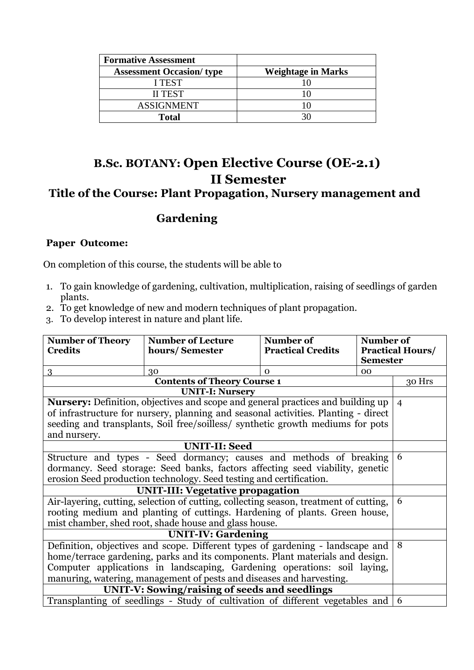| <b>Formative Assessment</b>      |                           |
|----------------------------------|---------------------------|
| <b>Assessment Occasion/ type</b> | <b>Weightage in Marks</b> |
| <b>I TEST</b>                    |                           |
| <b>II TEST</b>                   |                           |
| <b>ASSIGNMENT</b>                |                           |
| Total                            |                           |

### **B.Sc. BOTANY: Open Elective Course (OE-2.1) II Semester Title of the Course: Plant Propagation, Nursery management and**

### **Gardening**

#### **Paper Outcome:**

On completion of this course, the students will be able to

- 1. To gain knowledge of gardening, cultivation, multiplication, raising of seedlings of garden plants.
- 2. To get knowledge of new and modern techniques of plant propagation.
- 3. To develop interest in nature and plant life.

| <b>Number of Theory</b>                                                       | <b>Number of Lecture</b>                                                               | Number of                | Number of       |                         |
|-------------------------------------------------------------------------------|----------------------------------------------------------------------------------------|--------------------------|-----------------|-------------------------|
| <b>Credits</b>                                                                | hours/Semester                                                                         | <b>Practical Credits</b> |                 | <b>Practical Hours/</b> |
|                                                                               |                                                                                        |                          | <b>Semester</b> |                         |
| 3                                                                             | 30                                                                                     | $\Omega$                 | 00              |                         |
|                                                                               | <b>Contents of Theory Course 1</b>                                                     |                          |                 | 30 Hrs                  |
|                                                                               | <b>UNIT-I: Nursery</b>                                                                 |                          |                 |                         |
|                                                                               | <b>Nursery:</b> Definition, objectives and scope and general practices and building up |                          |                 | $\overline{4}$          |
|                                                                               | of infrastructure for nursery, planning and seasonal activities. Planting - direct     |                          |                 |                         |
|                                                                               | seeding and transplants, Soil free/soilless/ synthetic growth mediums for pots         |                          |                 |                         |
| and nursery.                                                                  |                                                                                        |                          |                 |                         |
|                                                                               | <b>UNIT-II: Seed</b>                                                                   |                          |                 |                         |
|                                                                               | Structure and types - Seed dormancy; causes and methods of breaking                    |                          |                 | 6                       |
| dormancy. Seed storage: Seed banks, factors affecting seed viability, genetic |                                                                                        |                          |                 |                         |
| erosion Seed production technology. Seed testing and certification.           |                                                                                        |                          |                 |                         |
| <b>UNIT-III: Vegetative propagation</b>                                       |                                                                                        |                          |                 |                         |
|                                                                               | Air-layering, cutting, selection of cutting, collecting season, treatment of cutting,  |                          |                 | 6                       |
| rooting medium and planting of cuttings. Hardening of plants. Green house,    |                                                                                        |                          |                 |                         |
| mist chamber, shed root, shade house and glass house.                         |                                                                                        |                          |                 |                         |
|                                                                               | <b>UNIT-IV: Gardening</b>                                                              |                          |                 |                         |
|                                                                               | Definition, objectives and scope. Different types of gardening - landscape and         |                          |                 | 8                       |
|                                                                               | home/terrace gardening, parks and its components. Plant materials and design.          |                          |                 |                         |
|                                                                               | Computer applications in landscaping, Gardening operations: soil laying,               |                          |                 |                         |
|                                                                               | manuring, watering, management of pests and diseases and harvesting.                   |                          |                 |                         |
|                                                                               | UNIT-V: Sowing/raising of seeds and seedlings                                          |                          |                 |                         |
|                                                                               | Transplanting of seedlings - Study of cultivation of different vegetables and          |                          |                 | 6                       |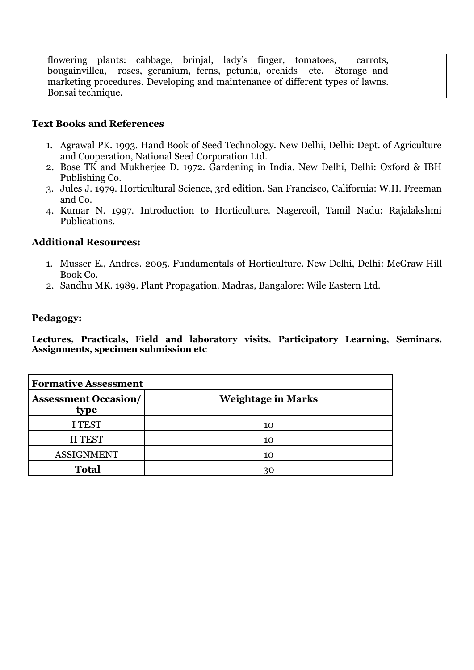flowering plants: cabbage, brinjal, lady's finger, tomatoes, carrots, bougainvillea, roses, geranium, ferns, petunia, orchids etc. Storage and roses, geranium, ferns, petunia, orchids etc. marketing procedures. Developing and maintenance of different types of lawns. Bonsai technique.

#### **Text Books and References**

- 1. Agrawal PK. 1993. Hand Book of Seed Technology. New Delhi, Delhi: Dept. of Agriculture and Cooperation, National Seed Corporation Ltd.
- 2. Bose TK and Mukherjee D. 1972. Gardening in India. New Delhi, Delhi: Oxford & IBH Publishing Co.
- 3. Jules J. 1979. Horticultural Science, 3rd edition. San Francisco, California: W.H. Freeman and Co.
- 4. Kumar N. 1997. Introduction to Horticulture. Nagercoil, Tamil Nadu: Rajalakshmi Publications.

#### **Additional Resources:**

- 1. Musser E., Andres. 2005. Fundamentals of Horticulture. New Delhi, Delhi: McGraw Hill Book Co.
- 2. Sandhu MK. 1989. Plant Propagation. Madras, Bangalore: Wile Eastern Ltd.

#### **Pedagogy:**

**Lectures, Practicals, Field and laboratory visits, Participatory Learning, Seminars, Assignments, specimen submission etc**

| <b>Formative Assessment</b>         |                           |  |
|-------------------------------------|---------------------------|--|
| <b>Assessment Occasion/</b><br>type | <b>Weightage in Marks</b> |  |
| <b>I TEST</b>                       | 10                        |  |
| <b>II TEST</b>                      | 10                        |  |
| <b>ASSIGNMENT</b>                   | 10                        |  |
| <b>Total</b>                        | 30                        |  |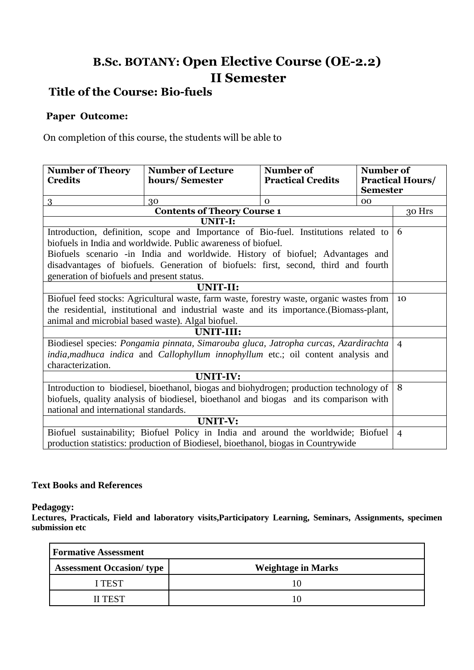### **B.Sc. BOTANY: Open Elective Course (OE-2.2) II Semester**

### **Title of the Course: Bio-fuels**

#### **Paper Outcome:**

On completion of this course, the students will be able to

| <b>Number of Theory</b><br><b>Credits</b>                                                       | <b>Number of Lecture</b><br>hours/Semester                                                            | Number of<br><b>Practical Credits</b> | Number of       | <b>Practical Hours/</b> |
|-------------------------------------------------------------------------------------------------|-------------------------------------------------------------------------------------------------------|---------------------------------------|-----------------|-------------------------|
|                                                                                                 |                                                                                                       |                                       | <b>Semester</b> |                         |
| $\overline{3}$                                                                                  | 30                                                                                                    | $\Omega$                              | 00              |                         |
|                                                                                                 | <b>Contents of Theory Course 1</b>                                                                    |                                       |                 | 30 Hrs                  |
|                                                                                                 | UNIT-I:                                                                                               |                                       |                 |                         |
|                                                                                                 | Introduction, definition, scope and Importance of Bio-fuel. Institutions related to $\vert 6 \rangle$ |                                       |                 |                         |
|                                                                                                 | biofuels in India and worldwide. Public awareness of biofuel.                                         |                                       |                 |                         |
|                                                                                                 | Biofuels scenario -in India and worldwide. History of biofuel; Advantages and                         |                                       |                 |                         |
|                                                                                                 | disadvantages of biofuels. Generation of biofuels: first, second, third and fourth                    |                                       |                 |                         |
| generation of biofuels and present status.                                                      |                                                                                                       |                                       |                 |                         |
| UNIT-II:                                                                                        |                                                                                                       |                                       |                 |                         |
| Biofuel feed stocks: Agricultural waste, farm waste, forestry waste, organic wastes from        |                                                                                                       |                                       | 10              |                         |
| the residential, institutional and industrial waste and its importance. (Biomass-plant,         |                                                                                                       |                                       |                 |                         |
| animal and microbial based waste). Algal biofuel.                                               |                                                                                                       |                                       |                 |                         |
|                                                                                                 | UNIT-III:                                                                                             |                                       |                 |                         |
| Biodiesel species: Pongamia pinnata, Simarouba gluca, Jatropha curcas, Azardirachta             |                                                                                                       |                                       | $\overline{4}$  |                         |
| <i>india, madhuca indica</i> and <i>Callophyllum innophyllum</i> etc.; oil content analysis and |                                                                                                       |                                       |                 |                         |
| characterization.                                                                               |                                                                                                       |                                       |                 |                         |
| <b>UNIT-IV:</b>                                                                                 |                                                                                                       |                                       |                 |                         |
| Introduction to biodiesel, bioethanol, biogas and biohydrogen; production technology of         |                                                                                                       |                                       | 8               |                         |
| biofuels, quality analysis of biodiesel, bioethanol and biogas and its comparison with          |                                                                                                       |                                       |                 |                         |
| national and international standards.                                                           |                                                                                                       |                                       |                 |                         |
| <b>UNIT-V:</b>                                                                                  |                                                                                                       |                                       |                 |                         |
| Biofuel sustainability; Biofuel Policy in India and around the worldwide; Biofuel               |                                                                                                       |                                       |                 | $\overline{4}$          |
| production statistics: production of Biodiesel, bioethanol, biogas in Countrywide               |                                                                                                       |                                       |                 |                         |

#### **Text Books and References**

**Pedagogy:** 

**Lectures, Practicals, Field and laboratory visits,Participatory Learning, Seminars, Assignments, specimen submission etc**

| <b>Formative Assessment</b>      |                           |  |
|----------------------------------|---------------------------|--|
| <b>Assessment Occasion/ type</b> | <b>Weightage in Marks</b> |  |
| <b>I TEST</b>                    |                           |  |
| <b>II TEST</b>                   |                           |  |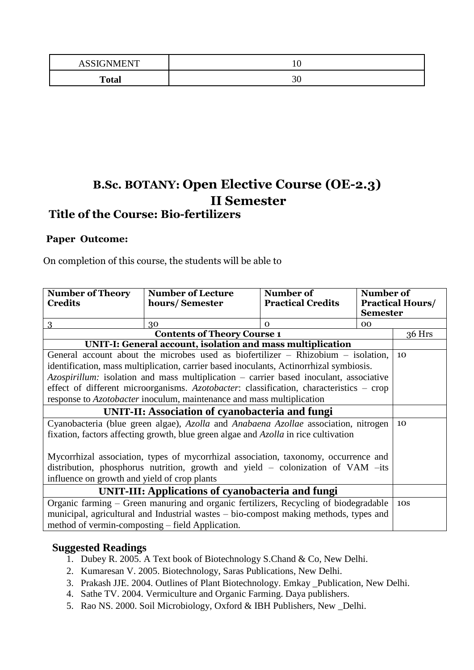| <b>A S STANMENT</b><br>$\mathbf{A}$ |           |
|-------------------------------------|-----------|
| <b>Total</b>                        | າເ<br>.JU |

## **B.Sc. BOTANY: Open Elective Course (OE-2.3) II Semester**

### **Title of the Course: Bio-fertilizers**

#### **Paper Outcome:**

On completion of this course, the students will be able to

| <b>Number of Theory</b>                                                                    | <b>Number of Lecture</b>                                                             | Number of                | Number of       |                         |
|--------------------------------------------------------------------------------------------|--------------------------------------------------------------------------------------|--------------------------|-----------------|-------------------------|
| <b>Credits</b>                                                                             | hours/Semester                                                                       | <b>Practical Credits</b> |                 | <b>Practical Hours/</b> |
|                                                                                            |                                                                                      |                          | <b>Semester</b> |                         |
| 3                                                                                          | 30                                                                                   | $\Omega$                 | 00              |                         |
|                                                                                            | <b>Contents of Theory Course 1</b>                                                   |                          |                 | 36 Hrs                  |
|                                                                                            | UNIT-I: General account, isolation and mass multiplication                           |                          |                 |                         |
| General account about the microbes used as biofertilizer $-$ Rhizobium $-$ isolation,      |                                                                                      |                          |                 |                         |
| identification, mass multiplication, carrier based inoculants, Actinor hizal symbiosis.    |                                                                                      |                          |                 |                         |
| Azospirillum: isolation and mass multiplication – carrier based inoculant, associative     |                                                                                      |                          |                 |                         |
| effect of different microorganisms. Azotobacter: classification, characteristics - crop    |                                                                                      |                          |                 |                         |
| response to <i>Azotobacter</i> inoculum, maintenance and mass multiplication               |                                                                                      |                          |                 |                         |
| <b>UNIT-II: Association of cyanobacteria and fungi</b>                                     |                                                                                      |                          |                 |                         |
| Cyanobacteria (blue green algae), Azolla and Anabaena Azollae association, nitrogen        |                                                                                      |                          |                 | 10                      |
| fixation, factors affecting growth, blue green algae and <i>Azolla</i> in rice cultivation |                                                                                      |                          |                 |                         |
|                                                                                            |                                                                                      |                          |                 |                         |
| Mycorrhizal association, types of mycorrhizal association, taxonomy, occurrence and        |                                                                                      |                          |                 |                         |
| distribution, phosphorus nutrition, growth and yield - colonization of VAM -its            |                                                                                      |                          |                 |                         |
| influence on growth and yield of crop plants                                               |                                                                                      |                          |                 |                         |
| UNIT-III: Applications of cyanobacteria and fungi                                          |                                                                                      |                          |                 |                         |
|                                                                                            | Organic farming – Green manuring and organic fertilizers, Recycling of biodegradable |                          |                 | <b>10S</b>              |
| municipal, agricultural and Industrial wastes – bio-compost making methods, types and      |                                                                                      |                          |                 |                         |
| method of vermin-composting – field Application.                                           |                                                                                      |                          |                 |                         |

#### **Suggested Readings**

- 1. Dubey R. 2005. A Text book of Biotechnology S.Chand & Co, New Delhi.
- 2. Kumaresan V. 2005. Biotechnology, Saras Publications, New Delhi.
- 3. Prakash JJE. 2004. Outlines of Plant Biotechnology. Emkay \_Publication, New Delhi.
- 4. Sathe TV. 2004. Vermiculture and Organic Farming. Daya publishers.
- 5. Rao NS. 2000. Soil Microbiology, Oxford & IBH Publishers, New \_Delhi.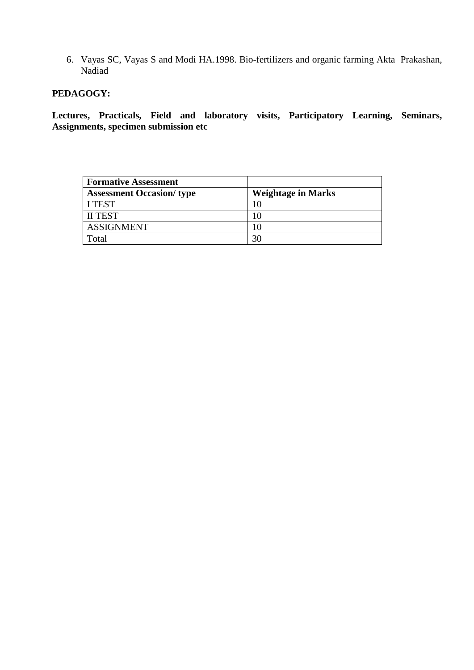6. Vayas SC, Vayas S and Modi HA.1998. Bio-fertilizers and organic farming Akta Prakashan, Nadiad

#### **PEDAGOGY:**

**Lectures, Practicals, Field and laboratory visits, Participatory Learning, Seminars, Assignments, specimen submission etc**

| <b>Formative Assessment</b>      |                           |
|----------------------------------|---------------------------|
| <b>Assessment Occasion/ type</b> | <b>Weightage in Marks</b> |
| I TEST                           |                           |
| <b>II TEST</b>                   |                           |
| <b>ASSIGNMENT</b>                |                           |
| Total                            | 30                        |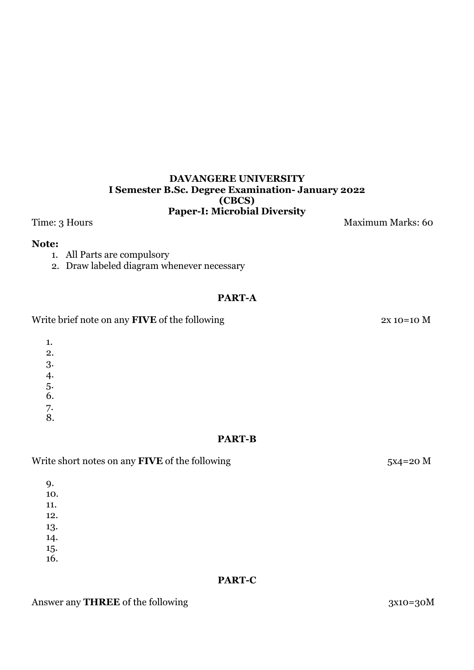#### **DAVANGERE UNIVERSITY I Semester B.Sc. Degree Examination- January 2022 (CBCS) Paper-I: Microbial Diversity**

Time: 3 Hours Maximum Marks: 60

#### **Note:**

- 1. All Parts are compulsory
- 2. Draw labeled diagram whenever necessary

#### **PART-A**

Write brief note on any **FIVE** of the following 2x 10=10 M

1.

2.

3.

4.

5. 6.

7.

8.

#### **PART-B**

#### Write short notes on any **FIVE** of the following 5x4=20 M

9.

10.

11. 12.

13.

14.

15.

16.

#### **PART-C**

#### Answer any **THREE** of the following 3x10=30M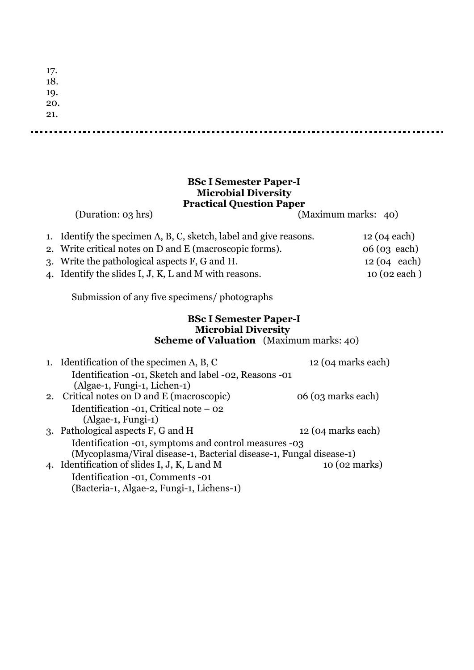| 17.<br>18.<br>19.<br>20.<br>21. |  |  |  |
|---------------------------------|--|--|--|
|                                 |  |  |  |
|                                 |  |  |  |
|                                 |  |  |  |
|                                 |  |  |  |

#### **BSc I Semester Paper-I Microbial Diversity Practical Question Paper**

(Duration: 03 hrs) (Maximum marks: 40)

| 1. Identify the specimen A, B, C, sketch, label and give reasons. | $12(04 \text{ each})$ |
|-------------------------------------------------------------------|-----------------------|
| 2. Write critical notes on D and E (macroscopic forms).           | $06(03 \text{ each})$ |
| 3. Write the pathological aspects F, G and H.                     | $12(04 \text{ each})$ |
| 4. Identify the slides I, J, K, L and M with reasons.             | 10 (02 each)          |

Submission of any five specimens/ photographs

#### **BSc I Semester Paper-I Microbial Diversity Scheme of Valuation** (Maximum marks: 40)

| 1. Identification of the specimen A, B, C                           | 12 (04 marks each) |
|---------------------------------------------------------------------|--------------------|
| Identification -01, Sketch and label -02, Reasons -01               |                    |
| (Algae-1, Fungi-1, Lichen-1)                                        |                    |
| 2. Critical notes on D and E (macroscopic)                          | 06 (03 marks each) |
| Identification -01, Critical note $-$ 02                            |                    |
| $(\text{Algae-1}, \text{Fungi-1})$                                  |                    |
| 3. Pathological aspects F, G and H                                  | 12 (04 marks each) |
| Identification -01, symptoms and control measures -03               |                    |
| (Mycoplasma/Viral disease-1, Bacterial disease-1, Fungal disease-1) |                    |
| 4. Identification of slides I, J, K, L and M                        | 10 (02 marks)      |
| Identification -01, Comments -01                                    |                    |
| (Bacteria-1, Algae-2, Fungi-1, Lichens-1)                           |                    |